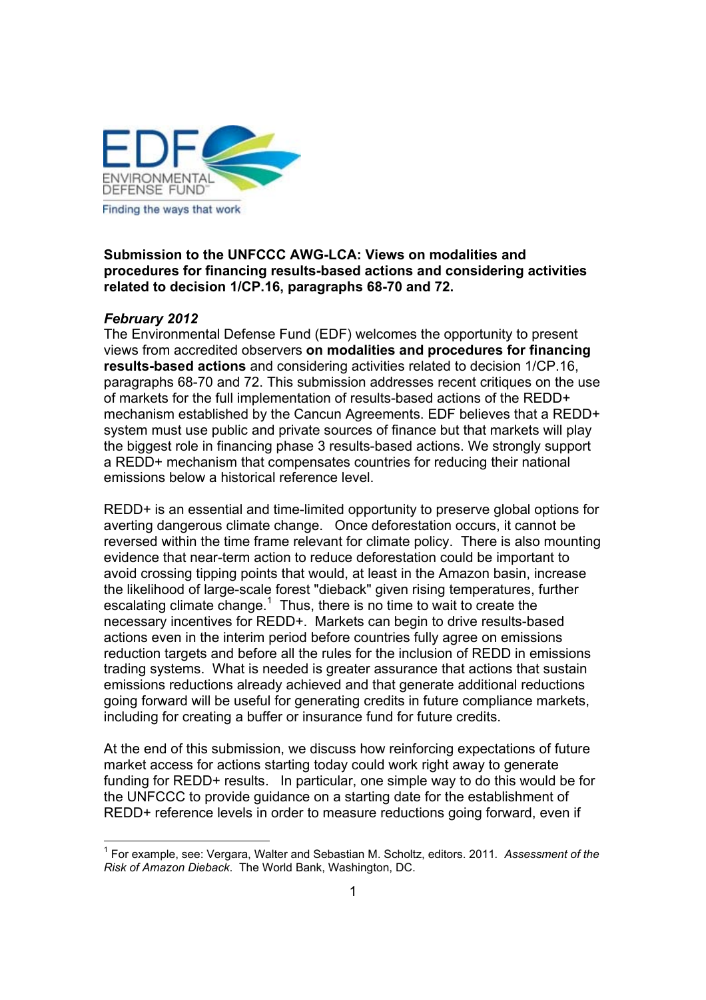

**Submission to the UNFCCC AWG-LCA: Views on modalities and procedures for financing results-based actions and considering activities related to decision 1/CP.16, paragraphs 68-70 and 72.** 

## *February 2012*

The Environmental Defense Fund (EDF) welcomes the opportunity to present views from accredited observers **on modalities and procedures for financing results-based actions** and considering activities related to decision 1/CP.16, paragraphs 68-70 and 72. This submission addresses recent critiques on the use of markets for the full implementation of results-based actions of the REDD+ mechanism established by the Cancun Agreements. EDF believes that a REDD+ system must use public and private sources of finance but that markets will play the biggest role in financing phase 3 results-based actions. We strongly support a REDD+ mechanism that compensates countries for reducing their national emissions below a historical reference level.

REDD+ is an essential and time-limited opportunity to preserve global options for averting dangerous climate change. Once deforestation occurs, it cannot be reversed within the time frame relevant for climate policy. There is also mounting evidence that near-term action to reduce deforestation could be important to avoid crossing tipping points that would, at least in the Amazon basin, increase the likelihood of large-scale forest "dieback" given rising temperatures, further escalating climate change.<sup>1</sup> Thus, there is no time to wait to create the necessary incentives for REDD+. Markets can begin to drive results-based actions even in the interim period before countries fully agree on emissions reduction targets and before all the rules for the inclusion of REDD in emissions trading systems. What is needed is greater assurance that actions that sustain emissions reductions already achieved and that generate additional reductions going forward will be useful for generating credits in future compliance markets, including for creating a buffer or insurance fund for future credits.

At the end of this submission, we discuss how reinforcing expectations of future market access for actions starting today could work right away to generate funding for REDD+ results. In particular, one simple way to do this would be for the UNFCCC to provide guidance on a starting date for the establishment of REDD+ reference levels in order to measure reductions going forward, even if

<sup>1</sup> For example, see: Vergara, Walter and Sebastian M. Scholtz, editors. 2011*. Assessment of the Risk of Amazon Dieback*. The World Bank, Washington, DC.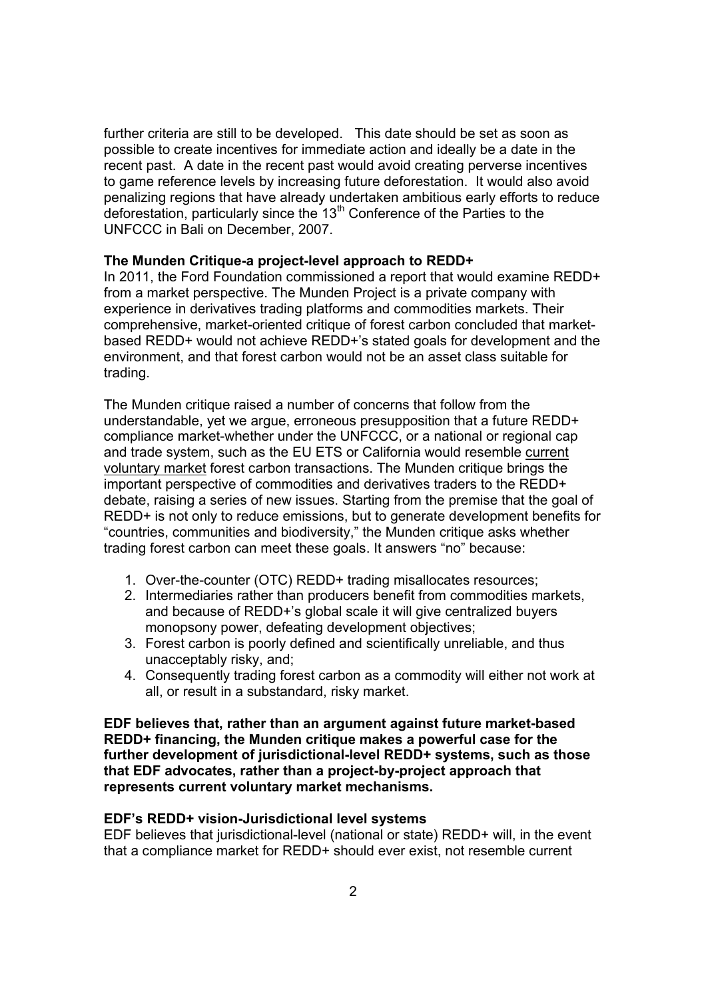further criteria are still to be developed. This date should be set as soon as possible to create incentives for immediate action and ideally be a date in the recent past. A date in the recent past would avoid creating perverse incentives to game reference levels by increasing future deforestation. It would also avoid penalizing regions that have already undertaken ambitious early efforts to reduce deforestation, particularly since the 13<sup>th</sup> Conference of the Parties to the UNFCCC in Bali on December, 2007.

## **The Munden Critique-a project-level approach to REDD+**

In 2011, the Ford Foundation commissioned a report that would examine REDD+ from a market perspective. The Munden Project is a private company with experience in derivatives trading platforms and commodities markets. Their comprehensive, market-oriented critique of forest carbon concluded that marketbased REDD+ would not achieve REDD+ís stated goals for development and the environment, and that forest carbon would not be an asset class suitable for trading.

The Munden critique raised a number of concerns that follow from the understandable, yet we argue, erroneous presupposition that a future REDD+ compliance market-whether under the UNFCCC, or a national or regional cap and trade system, such as the EU ETS or California would resemble current voluntary market forest carbon transactions. The Munden critique brings the important perspective of commodities and derivatives traders to the REDD+ debate, raising a series of new issues. Starting from the premise that the goal of REDD+ is not only to reduce emissions, but to generate development benefits for "countries, communities and biodiversity," the Munden critique asks whether trading forest carbon can meet these goals. It answers "no" because:

- 1. Over-the-counter (OTC) REDD+ trading misallocates resources;
- 2. Intermediaries rather than producers benefit from commodities markets, and because of REDD+'s global scale it will give centralized buyers monopsony power, defeating development objectives;
- 3. Forest carbon is poorly defined and scientifically unreliable, and thus unacceptably risky, and;
- 4. Consequently trading forest carbon as a commodity will either not work at all, or result in a substandard, risky market.

**EDF believes that, rather than an argument against future market-based REDD+ financing, the Munden critique makes a powerful case for the further development of jurisdictional-level REDD+ systems, such as those that EDF advocates, rather than a project-by-project approach that represents current voluntary market mechanisms.** 

#### **EDFís REDD+ vision-Jurisdictional level systems**

EDF believes that jurisdictional-level (national or state) REDD+ will, in the event that a compliance market for REDD+ should ever exist, not resemble current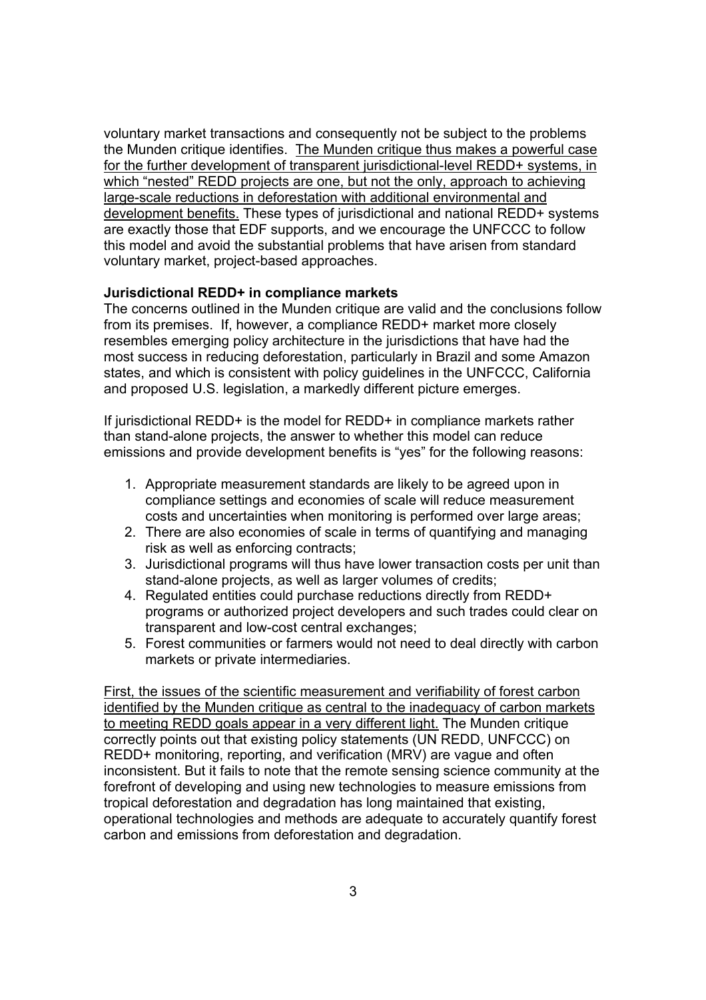voluntary market transactions and consequently not be subject to the problems the Munden critique identifies. The Munden critique thus makes a powerful case for the further development of transparent jurisdictional-level REDD+ systems, in which "nested" REDD projects are one, but not the only, approach to achieving large-scale reductions in deforestation with additional environmental and development benefits. These types of jurisdictional and national REDD+ systems are exactly those that EDF supports, and we encourage the UNFCCC to follow this model and avoid the substantial problems that have arisen from standard voluntary market, project-based approaches.

### **Jurisdictional REDD+ in compliance markets**

The concerns outlined in the Munden critique are valid and the conclusions follow from its premises. If, however, a compliance REDD+ market more closely resembles emerging policy architecture in the jurisdictions that have had the most success in reducing deforestation, particularly in Brazil and some Amazon states, and which is consistent with policy guidelines in the UNFCCC, California and proposed U.S. legislation, a markedly different picture emerges.

If jurisdictional REDD+ is the model for REDD+ in compliance markets rather than stand-alone projects, the answer to whether this model can reduce emissions and provide development benefits is "yes" for the following reasons:

- 1. Appropriate measurement standards are likely to be agreed upon in compliance settings and economies of scale will reduce measurement costs and uncertainties when monitoring is performed over large areas;
- 2. There are also economies of scale in terms of quantifying and managing risk as well as enforcing contracts;
- 3. Jurisdictional programs will thus have lower transaction costs per unit than stand-alone projects, as well as larger volumes of credits;
- 4. Regulated entities could purchase reductions directly from REDD+ programs or authorized project developers and such trades could clear on transparent and low-cost central exchanges;
- 5. Forest communities or farmers would not need to deal directly with carbon markets or private intermediaries.

First, the issues of the scientific measurement and verifiability of forest carbon identified by the Munden critique as central to the inadequacy of carbon markets to meeting REDD goals appear in a very different light. The Munden critique correctly points out that existing policy statements (UN REDD, UNFCCC) on REDD+ monitoring, reporting, and verification (MRV) are vague and often inconsistent. But it fails to note that the remote sensing science community at the forefront of developing and using new technologies to measure emissions from tropical deforestation and degradation has long maintained that existing, operational technologies and methods are adequate to accurately quantify forest carbon and emissions from deforestation and degradation.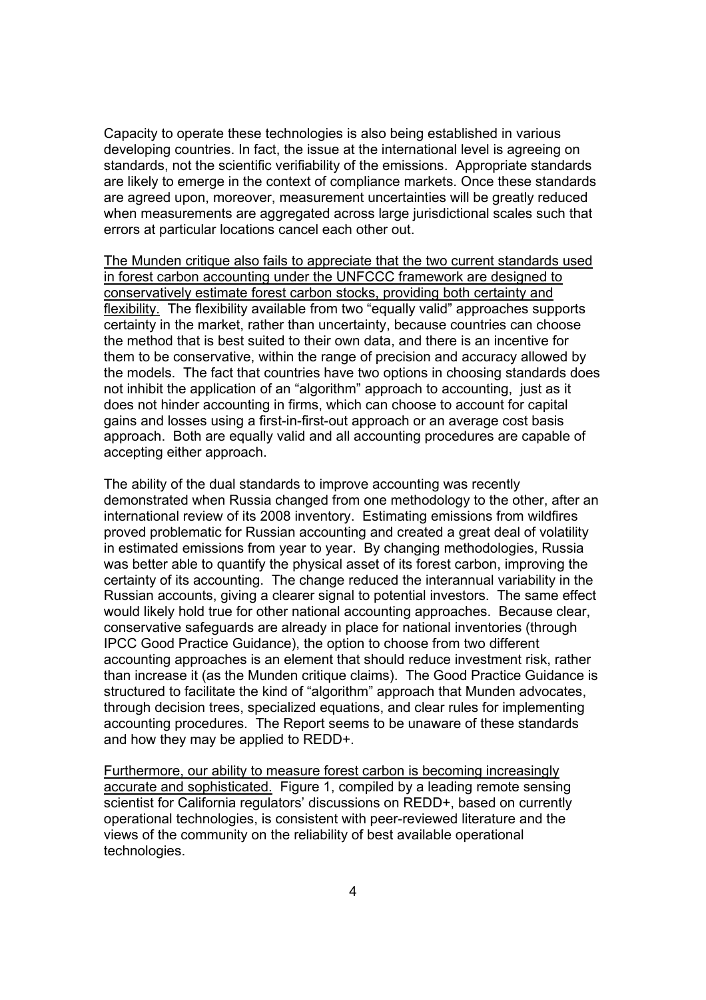Capacity to operate these technologies is also being established in various developing countries. In fact, the issue at the international level is agreeing on standards, not the scientific verifiability of the emissions. Appropriate standards are likely to emerge in the context of compliance markets. Once these standards are agreed upon, moreover, measurement uncertainties will be greatly reduced when measurements are aggregated across large jurisdictional scales such that errors at particular locations cancel each other out.

The Munden critique also fails to appreciate that the two current standards used in forest carbon accounting under the UNFCCC framework are designed to conservatively estimate forest carbon stocks, providing both certainty and flexibility. The flexibility available from two "equally valid" approaches supports certainty in the market, rather than uncertainty, because countries can choose the method that is best suited to their own data, and there is an incentive for them to be conservative, within the range of precision and accuracy allowed by the models. The fact that countries have two options in choosing standards does not inhibit the application of an "algorithm" approach to accounting, just as it does not hinder accounting in firms, which can choose to account for capital gains and losses using a first-in-first-out approach or an average cost basis approach. Both are equally valid and all accounting procedures are capable of accepting either approach.

The ability of the dual standards to improve accounting was recently demonstrated when Russia changed from one methodology to the other, after an international review of its 2008 inventory. Estimating emissions from wildfires proved problematic for Russian accounting and created a great deal of volatility in estimated emissions from year to year. By changing methodologies, Russia was better able to quantify the physical asset of its forest carbon, improving the certainty of its accounting. The change reduced the interannual variability in the Russian accounts, giving a clearer signal to potential investors. The same effect would likely hold true for other national accounting approaches. Because clear, conservative safeguards are already in place for national inventories (through IPCC Good Practice Guidance), the option to choose from two different accounting approaches is an element that should reduce investment risk, rather than increase it (as the Munden critique claims). The Good Practice Guidance is structured to facilitate the kind of "algorithm" approach that Munden advocates, through decision trees, specialized equations, and clear rules for implementing accounting procedures. The Report seems to be unaware of these standards and how they may be applied to REDD+.

Furthermore, our ability to measure forest carbon is becoming increasingly accurate and sophisticated. Figure 1, compiled by a leading remote sensing scientist for California regulators' discussions on REDD+, based on currently operational technologies, is consistent with peer-reviewed literature and the views of the community on the reliability of best available operational technologies.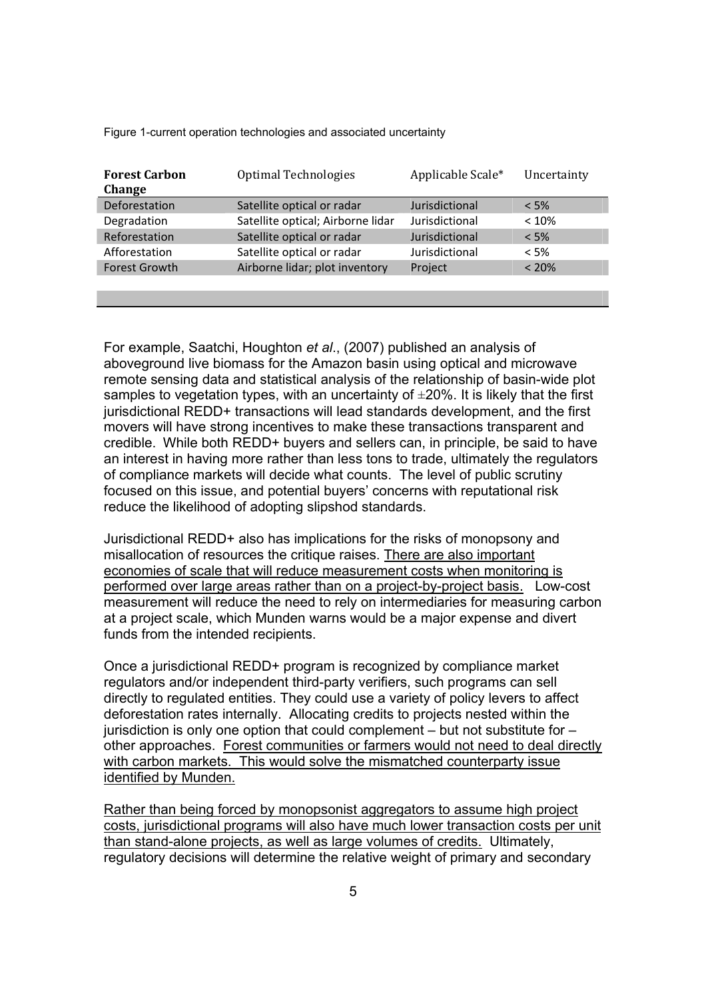Figure 1-current operation technologies and associated uncertainty

| Optimal Technologies              | Applicable Scale* | Uncertainty |
|-----------------------------------|-------------------|-------------|
| Satellite optical or radar        | Jurisdictional    | $< 5\%$     |
| Satellite optical; Airborne lidar | Jurisdictional    | < 10%       |
| Satellite optical or radar        | Jurisdictional    | $< 5\%$     |
| Satellite optical or radar        | Jurisdictional    | $< 5\%$     |
| Airborne lidar; plot inventory    | Project           | < 20%       |
|                                   |                   |             |
|                                   |                   |             |

For example, Saatchi, Houghton *et al*., (2007) published an analysis of aboveground live biomass for the Amazon basin using optical and microwave remote sensing data and statistical analysis of the relationship of basin-wide plot samples to vegetation types, with an uncertainty of  $\pm 20\%$ . It is likely that the first jurisdictional REDD+ transactions will lead standards development, and the first movers will have strong incentives to make these transactions transparent and credible. While both REDD+ buyers and sellers can, in principle, be said to have an interest in having more rather than less tons to trade, ultimately the regulators of compliance markets will decide what counts. The level of public scrutiny focused on this issue, and potential buyers' concerns with reputational risk reduce the likelihood of adopting slipshod standards.

Jurisdictional REDD+ also has implications for the risks of monopsony and misallocation of resources the critique raises. There are also important economies of scale that will reduce measurement costs when monitoring is performed over large areas rather than on a project-by-project basis. Low-cost measurement will reduce the need to rely on intermediaries for measuring carbon at a project scale, which Munden warns would be a major expense and divert funds from the intended recipients.

Once a jurisdictional REDD+ program is recognized by compliance market regulators and/or independent third-party verifiers, such programs can sell directly to regulated entities. They could use a variety of policy levers to affect deforestation rates internally. Allocating credits to projects nested within the jurisdiction is only one option that could complement  $-$  but not substitute for  $$ other approaches. Forest communities or farmers would not need to deal directly with carbon markets. This would solve the mismatched counterparty issue identified by Munden.

Rather than being forced by monopsonist aggregators to assume high project costs, jurisdictional programs will also have much lower transaction costs per unit than stand-alone projects, as well as large volumes of credits. Ultimately, regulatory decisions will determine the relative weight of primary and secondary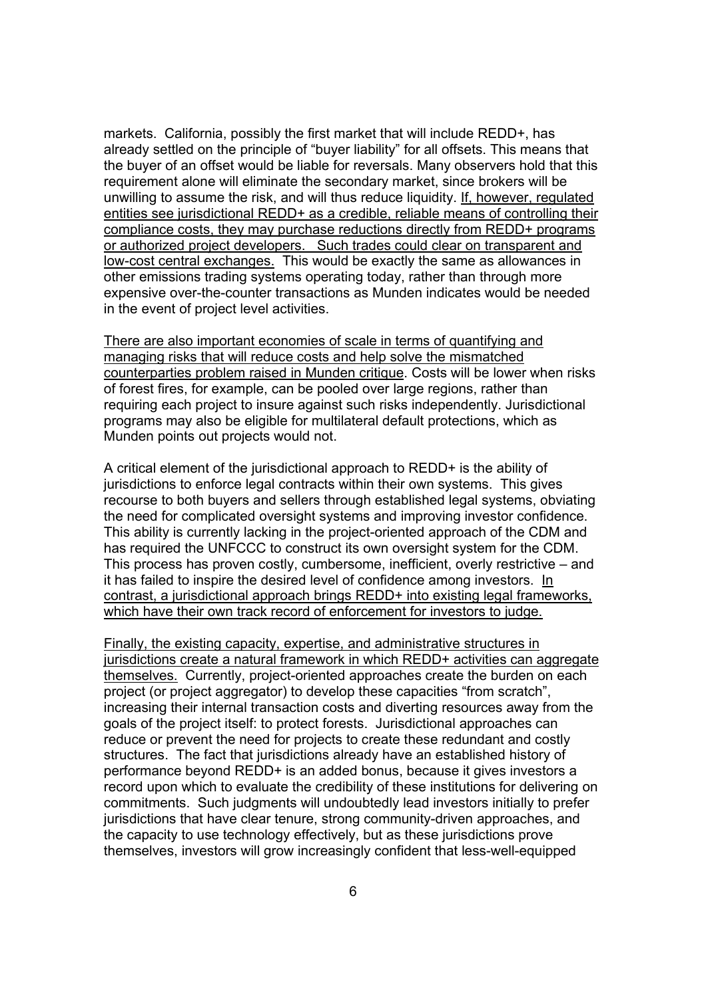markets. California, possibly the first market that will include REDD+, has already settled on the principle of "buyer liability" for all offsets. This means that the buyer of an offset would be liable for reversals. Many observers hold that this requirement alone will eliminate the secondary market, since brokers will be unwilling to assume the risk, and will thus reduce liquidity. If, however, regulated entities see jurisdictional REDD+ as a credible, reliable means of controlling their compliance costs, they may purchase reductions directly from REDD+ programs or authorized project developers. Such trades could clear on transparent and low-cost central exchanges. This would be exactly the same as allowances in other emissions trading systems operating today, rather than through more expensive over-the-counter transactions as Munden indicates would be needed in the event of project level activities.

There are also important economies of scale in terms of quantifying and managing risks that will reduce costs and help solve the mismatched counterparties problem raised in Munden critique. Costs will be lower when risks of forest fires, for example, can be pooled over large regions, rather than requiring each project to insure against such risks independently. Jurisdictional programs may also be eligible for multilateral default protections, which as Munden points out projects would not.

A critical element of the jurisdictional approach to REDD+ is the ability of jurisdictions to enforce legal contracts within their own systems. This gives recourse to both buyers and sellers through established legal systems, obviating the need for complicated oversight systems and improving investor confidence. This ability is currently lacking in the project-oriented approach of the CDM and has required the UNFCCC to construct its own oversight system for the CDM. This process has proven costly, cumbersome, inefficient, overly restrictive  $-$  and it has failed to inspire the desired level of confidence among investors. In contrast, a jurisdictional approach brings REDD+ into existing legal frameworks, which have their own track record of enforcement for investors to judge.

Finally, the existing capacity, expertise, and administrative structures in jurisdictions create a natural framework in which REDD+ activities can aggregate themselves. Currently, project-oriented approaches create the burden on each project (or project aggregator) to develop these capacities "from scratch", increasing their internal transaction costs and diverting resources away from the goals of the project itself: to protect forests. Jurisdictional approaches can reduce or prevent the need for projects to create these redundant and costly structures. The fact that jurisdictions already have an established history of performance beyond REDD+ is an added bonus, because it gives investors a record upon which to evaluate the credibility of these institutions for delivering on commitments. Such judgments will undoubtedly lead investors initially to prefer jurisdictions that have clear tenure, strong community-driven approaches, and the capacity to use technology effectively, but as these jurisdictions prove themselves, investors will grow increasingly confident that less-well-equipped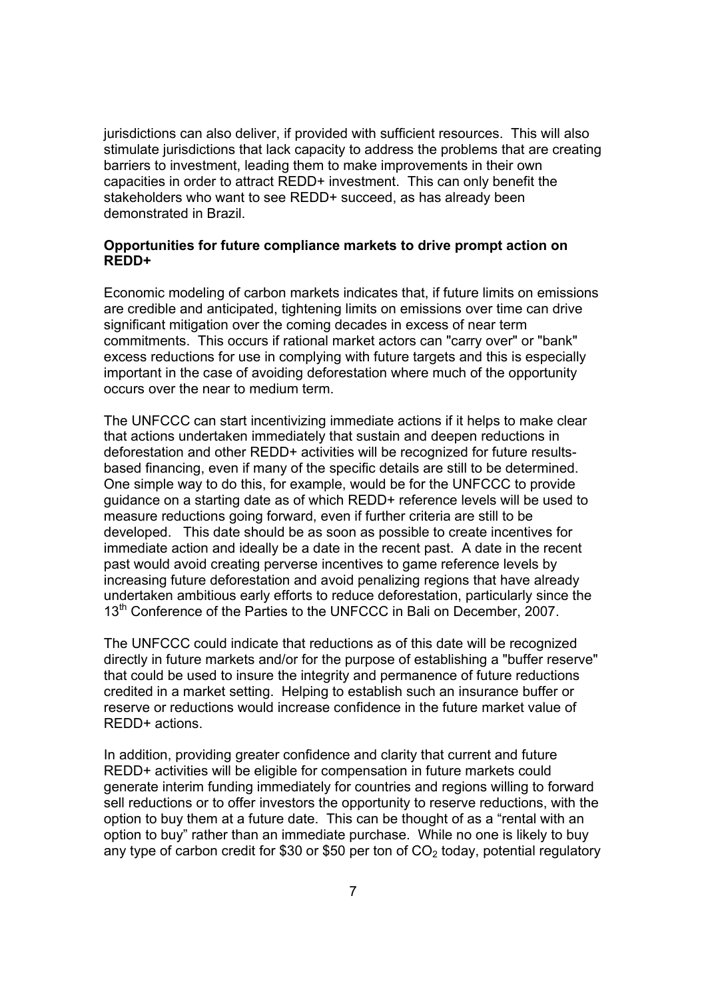jurisdictions can also deliver, if provided with sufficient resources. This will also stimulate jurisdictions that lack capacity to address the problems that are creating barriers to investment, leading them to make improvements in their own capacities in order to attract REDD+ investment. This can only benefit the stakeholders who want to see REDD+ succeed, as has already been demonstrated in Brazil.

# **Opportunities for future compliance markets to drive prompt action on REDD+**

Economic modeling of carbon markets indicates that, if future limits on emissions are credible and anticipated, tightening limits on emissions over time can drive significant mitigation over the coming decades in excess of near term commitments. This occurs if rational market actors can "carry over" or "bank" excess reductions for use in complying with future targets and this is especially important in the case of avoiding deforestation where much of the opportunity occurs over the near to medium term.

The UNFCCC can start incentivizing immediate actions if it helps to make clear that actions undertaken immediately that sustain and deepen reductions in deforestation and other REDD+ activities will be recognized for future resultsbased financing, even if many of the specific details are still to be determined. One simple way to do this, for example, would be for the UNFCCC to provide guidance on a starting date as of which REDD+ reference levels will be used to measure reductions going forward, even if further criteria are still to be developed. This date should be as soon as possible to create incentives for immediate action and ideally be a date in the recent past. A date in the recent past would avoid creating perverse incentives to game reference levels by increasing future deforestation and avoid penalizing regions that have already undertaken ambitious early efforts to reduce deforestation, particularly since the 13<sup>th</sup> Conference of the Parties to the UNFCCC in Bali on December, 2007.

The UNFCCC could indicate that reductions as of this date will be recognized directly in future markets and/or for the purpose of establishing a "buffer reserve" that could be used to insure the integrity and permanence of future reductions credited in a market setting. Helping to establish such an insurance buffer or reserve or reductions would increase confidence in the future market value of REDD+ actions.

In addition, providing greater confidence and clarity that current and future REDD+ activities will be eligible for compensation in future markets could generate interim funding immediately for countries and regions willing to forward sell reductions or to offer investors the opportunity to reserve reductions, with the option to buy them at a future date. This can be thought of as a "rental with an option to buy" rather than an immediate purchase. While no one is likely to buy any type of carbon credit for \$30 or \$50 per ton of  $CO<sub>2</sub>$  today, potential regulatory